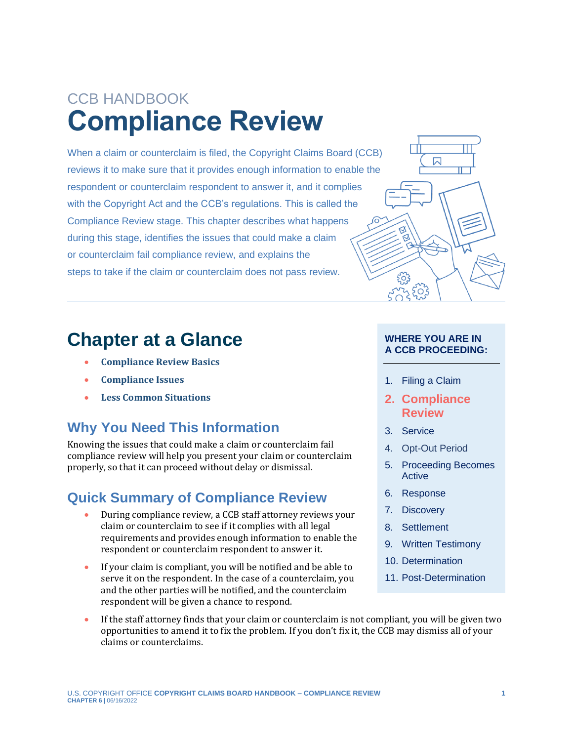# CCB HANDBOOK **Compliance Review**

When a claim or counterclaim is filed, the Copyright Claims Board (CCB) reviews it to make sure that it provides enough information to enable the respondent or counterclaim respondent to answer it, and it complies with the Copyright Act and the CCB's regulations. This is called the Compliance Review stage. This chapter describes what happens during this stage, identifies the issues that could make a claim or counterclaim fail compliance review, and explains the steps to take if the claim or counterclaim does not pass review.

## **Chapter at a Glance**

- **[Compliance Review Basics](#page-3-0)**
- **[Compliance Issues](#page-4-0)**
- **[Less Common Situations](#page-8-0)**

#### **Why You Need This Information**

Knowing the issues that could make a claim or counterclaim fail compliance review will help you present your claim or counterclaim properly, so that it can proceed without delay or dismissal.

#### **Quick Summary of Compliance Review**

- During compliance review, a CCB staff attorney reviews your claim or counterclaim to see if it complies with all legal requirements and provides enough information to enable the respondent or counterclaim respondent to answer it.
- If your claim is compliant, you will be notified and be able to serve it on the respondent. In the case of a counterclaim, you and the other parties will be notified, and the counterclaim respondent will be given a chance to respond.
- If the staff attorney finds that your claim or counterclaim is not compliant, you will be given two opportunities to amend it to fix the problem. If you don't fix it, the CCB may dismiss all of your claims or counterclaims.



#### **WHERE YOU ARE IN A CCB PROCEEDING:**

- 1. Filing a Claim
- **2. Compliance Review**
- 3. Service
- 4. Opt-Out Period
- 5. Proceeding Becomes Active
- 6. Response
- 7. Discovery
- 8. Settlement
- 9. Written Testimony
- 10. Determination
- 11. Post-Determination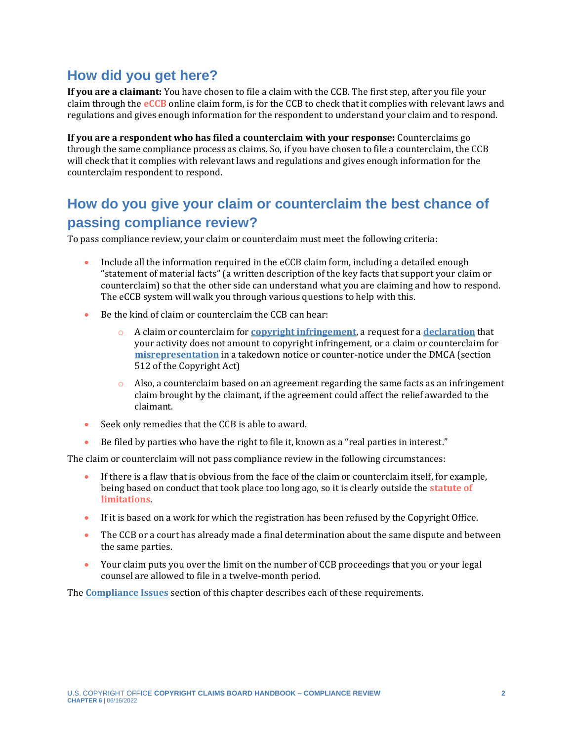#### **How did you get here?**

<span id="page-1-0"></span>**If you are a claimant:** You have chosen to file a claim with the CCB. The first step, after you file your claim through the **[eCCB](#page-11-0)** online claim form, is for the CCB to check that it complies with relevant laws and regulations and gives enough information for the respondent to understand your claim and to respond.

**If you are a respondent who has filed a counterclaim with your response:** Counterclaims go through the same compliance process as claims. So, if you have chosen to file a counterclaim, the CCB will check that it complies with relevant laws and regulations and gives enough information for the counterclaim respondent to respond.

#### **How do you give your claim or counterclaim the best chance of passing compliance review?**

To pass compliance review, your claim or counterclaim must meet the following criteria:

- Include all the information required in the eCCB claim form, including a detailed enough "statement of material facts" (a written description of the key facts that support your claim or counterclaim) so that the other side can understand what you are claiming and how to respond. The eCCB system will walk you through various questions to help with this.
- Be the kind of claim or counterclaim the CCB can hear:
	- o A claim or counterclaim for **[copyright infringement](https://ccb.gov/handbook/Infringement-Claim.pdf)**, a request for a **[declaration](https://ccb.gov/handbook/Noninfringement-Claim.pdf)** that your activity does not amount to copyright infringement, or a claim or counterclaim for **[misrepresentation](https://ccb.gov/handbook/Misrepresentation-Claim.pdf)** in a takedown notice or counter-notice under the DMCA (section 512 of the Copyright Act)
	- $\circ$  Also, a counterclaim based on an agreement regarding the same facts as an infringement claim brought by the claimant, if the agreement could affect the relief awarded to the claimant.
- Seek only remedies that the CCB is able to award.
- Be filed by parties who have the right to file it, known as a "real parties in interest."

The claim or counterclaim will not pass compliance review in the following circumstances:

- <span id="page-1-1"></span>If there is a flaw that is obvious from the face of the claim or counterclaim itself, for example, being based on conduct that took place too long ago, so it is clearly outside the **[statute of](#page-11-0)  [limitations](#page-11-0)**.
- If it is based on a work for which the registration has been refused by the Copyright Office.
- The CCB or a court has already made a final determination about the same dispute and between the same parties.
- Your claim puts you over the limit on the number of CCB proceedings that you or your legal counsel are allowed to file in a twelve-month period.

The **[Compliance Issues](#page-4-0)** section of this chapter describes each of these requirements.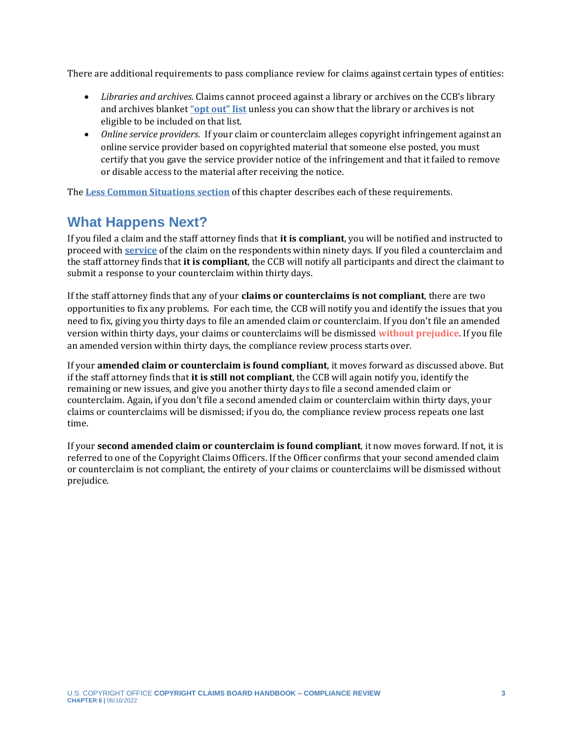There are additional requirements to pass compliance review for claims against certain types of entities:

- *Libraries and archives.* Claims cannot proceed against a library or archives on the CCB's library and archives blanket **["opt out" list](https://ccb.gov/libraries-archives-opt-out/)** unless you can show that the library or archives is not eligible to be included on that list.
- *Online service providers.* If your claim or counterclaim alleges copyright infringement against an online service provider based on copyrighted material that someone else posted, you must certify that you gave the service provider notice of the infringement and that it failed to remove or disable access to the material after receiving the notice.

The **[Less Common Situations section](#page-8-0)** of this chapter describes each of these requirements.

#### **What Happens Next?**

If you filed a claim and the staff attorney finds that **it is compliant**, you will be notified and instructed to proceed with **[service](https://ccb.gov/handbook/Service.pdf)** of the claim on the respondents within ninety days. If you filed a counterclaim and the staff attorney finds that **it is compliant**, the CCB will notify all participants and direct the claimant to submit a response to your counterclaim within thirty days.

If the staff attorney finds that any of your **claims or counterclaims is not compliant**, there are two opportunities to fix any problems. For each time, the CCB will notify you and identify the issues that you need to fix, giving you thirty days to file an amended claim or counterclaim. If you don't file an amended version within thirty days, your claims or counterclaims will be dismissed **[without prejudice](#page-11-0)**. If you file an amended version within thirty days, the compliance review process starts over.

<span id="page-2-0"></span>If your **amended claim or counterclaim is found compliant**, it moves forward as discussed above. But if the staff attorney finds that **it is still not compliant**, the CCB will again notify you, identify the remaining or new issues, and give you another thirty days to file a second amended claim or counterclaim. Again, if you don't file a second amended claim or counterclaim within thirty days, your claims or counterclaims will be dismissed; if you do, the compliance review process repeats one last time.

If your **second amended claim or counterclaim is found compliant**, it now moves forward. If not, it is referred to one of the Copyright Claims Officers. If the Officer confirms that your second amended claim or counterclaim is not compliant, the entirety of your claims or counterclaims will be dismissed without prejudice.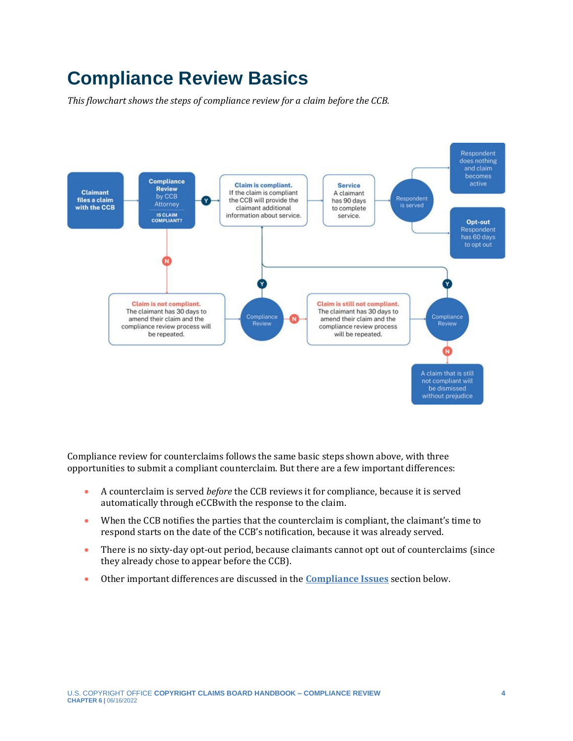# <span id="page-3-0"></span>**Compliance Review Basics**

*This flowchart shows the steps of compliance review for a claim before the CCB.*



Compliance review for counterclaims follows the same basic steps shown above, with three opportunities to submit a compliant counterclaim. But there are a few important differences:

- A counterclaim is served *before* the CCB reviews it for compliance, because it is served automatically through eCCBwith the response to the claim.
- When the CCB notifies the parties that the counterclaim is compliant, the claimant's time to respond starts on the date of the CCB's notification, because it was already served.
- There is no sixty-day opt-out period, because claimants cannot opt out of counterclaims (since they already chose to appear before the CCB).
- Other important differences are discussed in the **[Compliance Issues](#page-4-0)** section below.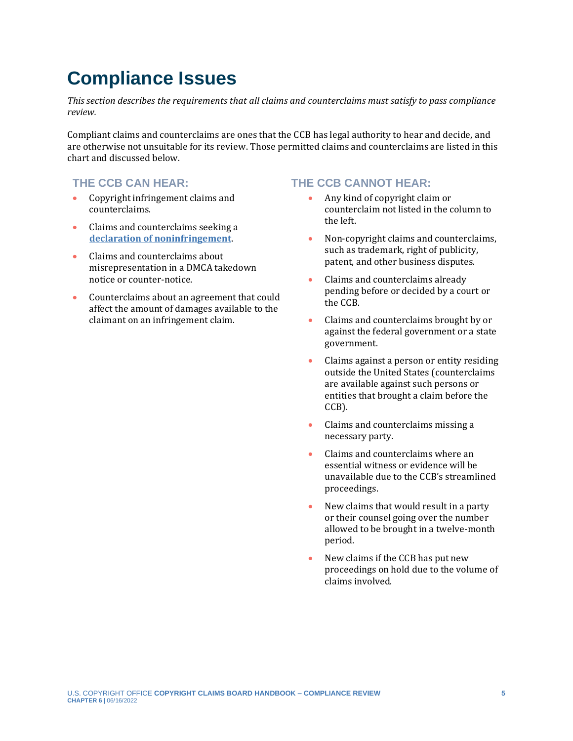# <span id="page-4-0"></span>**Compliance Issues**

*This section describes the requirements that all claims and counterclaims must satisfy to pass compliance review.* 

Compliant claims and counterclaims are ones that the CCB has legal authority to hear and decide, and are otherwise not unsuitable for its review. Those permitted claims and counterclaims are listed in this chart and discussed below.

- Copyright infringement claims and counterclaims.
- Claims and counterclaims seeking a **[declaration of noninfringement](https://ccb.gov/handbook/Infringement-Claim.pdf)**.
- Claims and counterclaims about misrepresentation in a DMCA takedown notice or counter-notice.
- Counterclaims about an agreement that could affect the amount of damages available to the claimant on an infringement claim.

#### **THE CCB CAN HEAR: THE CCB CANNOT HEAR:**

- Any kind of copyright claim or counterclaim not listed in the column to the left.
- Non-copyright claims and counterclaims, such as trademark, right of publicity, patent, and other business disputes.
- Claims and counterclaims already pending before or decided by a court or the CCB.
- Claims and counterclaims brought by or against the federal government or a state government.
- Claims against a person or entity residing outside the United States (counterclaims are available against such persons or entities that brought a claim before the CCB).
- Claims and counterclaims missing a necessary party.
- Claims and counterclaims where an essential witness or evidence will be unavailable due to the CCB's streamlined proceedings.
- New claims that would result in a party or their counsel going over the number allowed to be brought in a twelve-month period.
- New claims if the CCB has put new proceedings on hold due to the volume of claims involved.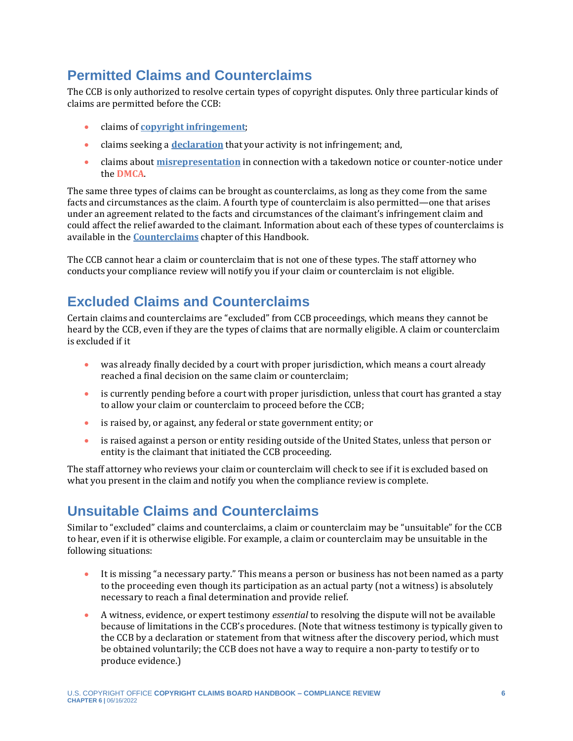## **Permitted Claims and Counterclaims**

The CCB is only authorized to resolve certain types of copyright disputes. Only three particular kinds of claims are permitted before the CCB:

- claims of **[copyright infringement](https://ccb.gov/handbook/Infringement-Claim.pdf)**;
- claims seeking a **[declaration](https://ccb.gov/handbook/Noninfringement-Claim.pdf)** that your activity is not infringement; and,
- <span id="page-5-0"></span>• claims about **[misrepresentation](https://ccb.gov/handbook/Misrepresentation-Claim.pdf)** in connection with a takedown notice or counter-notice under the **[DMCA](#page-11-0)**.

The same three types of claims can be brought as counterclaims, as long as they come from the same facts and circumstances as the claim. A fourth type of counterclaim is also permitted—one that arises under an agreement related to the facts and circumstances of the claimant's infringement claim and could affect the relief awarded to the claimant. Information about each of these types of counterclaims is available in the **[Counterclaims](https://ccb.gov/handbook/Counterclaims.pdf)** chapter of this Handbook.

The CCB cannot hear a claim or counterclaim that is not one of these types. The staff attorney who conducts your compliance review will notify you if your claim or counterclaim is not eligible.

### **Excluded Claims and Counterclaims**

Certain claims and counterclaims are "excluded" from CCB proceedings, which means they cannot be heard by the CCB, even if they are the types of claims that are normally eligible. A claim or counterclaim is excluded if it

- was already finally decided by a court with proper jurisdiction, which means a court already reached a final decision on the same claim or counterclaim;
- is currently pending before a court with proper jurisdiction, unless that court has granted a stay to allow your claim or counterclaim to proceed before the CCB;
- is raised by, or against, any federal or state government entity; or
- is raised against a person or entity residing outside of the United States, unless that person or entity is the claimant that initiated the CCB proceeding.

The staff attorney who reviews your claim or counterclaim will check to see if it is excluded based on what you present in the claim and notify you when the compliance review is complete.

#### **Unsuitable Claims and Counterclaims**

Similar to "excluded" claims and counterclaims, a claim or counterclaim may be "unsuitable" for the CCB to hear, even if it is otherwise eligible. For example, a claim or counterclaim may be unsuitable in the following situations:

- It is missing "a necessary party." This means a person or business has not been named as a party to the proceeding even though its participation as an actual party (not a witness) is absolutely necessary to reach a final determination and provide relief.
- A witness, evidence, or expert testimony *essential* to resolving the dispute will not be available because of limitations in the CCB's procedures. (Note that witness testimony is typically given to the CCB by a declaration or statement from that witness after the discovery period, which must be obtained voluntarily; the CCB does not have a way to require a non-party to testify or to produce evidence.)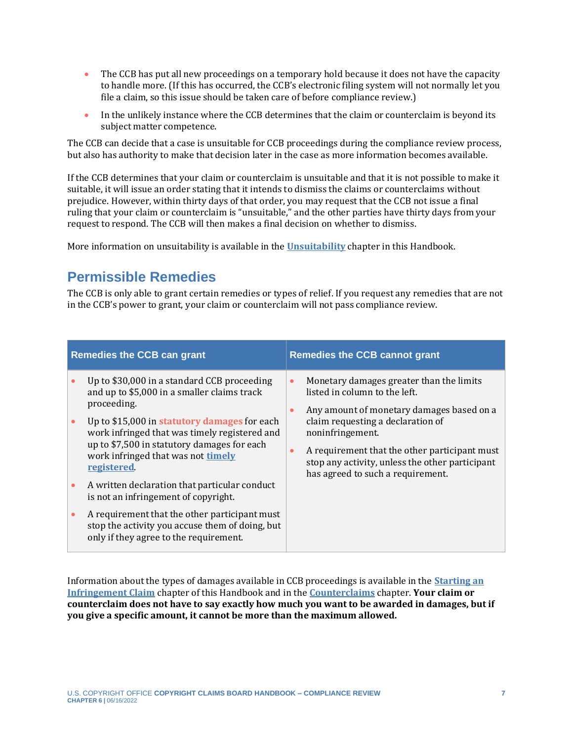- The CCB has put all new proceedings on a temporary hold because it does not have the capacity to handle more. (If this has occurred, the CCB's electronic filing system will not normally let you file a claim, so this issue should be taken care of before compliance review.)
- In the unlikely instance where the CCB determines that the claim or counterclaim is beyond its subject matter competence.

The CCB can decide that a case is unsuitable for CCB proceedings during the compliance review process, but also has authority to make that decision later in the case as more information becomes available.

If the CCB determines that your claim or counterclaim is unsuitable and that it is not possible to make it suitable, it will issue an order stating that it intends to dismiss the claims or counterclaims without prejudice. However, within thirty days of that order, you may request that the CCB not issue a final ruling that your claim or counterclaim is "unsuitable," and the other parties have thirty days from your request to respond. The CCB will then makes a final decision on whether to dismiss.

More information on unsuitability is available in the **[Unsuitability](https://ccb.gov/handbook/Unsuitability.pdf)** chapter in this Handbook.

#### **Permissible Remedies**

The CCB is only able to grant certain remedies or types of relief. If you request any remedies that are not in the CCB's power to grant, your claim or counterclaim will not pass compliance review.

<span id="page-6-0"></span>

| <b>Remedies the CCB can grant</b> |                                                                                                                                                                                                  | <b>Remedies the CCB cannot grant</b> |                                                                                                                                                                                                                                                                                                                          |
|-----------------------------------|--------------------------------------------------------------------------------------------------------------------------------------------------------------------------------------------------|--------------------------------------|--------------------------------------------------------------------------------------------------------------------------------------------------------------------------------------------------------------------------------------------------------------------------------------------------------------------------|
|                                   | Up to \$30,000 in a standard CCB proceeding<br>and up to \$5,000 in a smaller claims track<br>proceeding.                                                                                        | $\bullet$<br>$\bullet$               | Monetary damages greater than the limits<br>listed in column to the left.<br>Any amount of monetary damages based on a<br>claim requesting a declaration of<br>noninfringement.<br>A requirement that the other participant must<br>stop any activity, unless the other participant<br>has agreed to such a requirement. |
|                                   | Up to \$15,000 in statutory damages for each<br>work infringed that was timely registered and<br>up to \$7,500 in statutory damages for each<br>work infringed that was not timely<br>registered | $\bullet$                            |                                                                                                                                                                                                                                                                                                                          |
|                                   | A written declaration that particular conduct<br>is not an infringement of copyright.                                                                                                            |                                      |                                                                                                                                                                                                                                                                                                                          |
|                                   | A requirement that the other participant must<br>stop the activity you accuse them of doing, but<br>only if they agree to the requirement.                                                       |                                      |                                                                                                                                                                                                                                                                                                                          |

Information about the types of damages available in CCB proceedings is available in the **[Starting an](https://ccb.gov/handbook/Infringement-Claim.pdf)  [Infringement Claim](https://ccb.gov/handbook/Infringement-Claim.pdf)** chapter of this Handbook and in the **[Counterclaims](https://ccb.gov/handbook/Counterclaims.pdf)** chapter. **Your claim or counterclaim does not have to say exactly how much you want to be awarded in damages, but if you give a specific amount, it cannot be more than the maximum allowed.**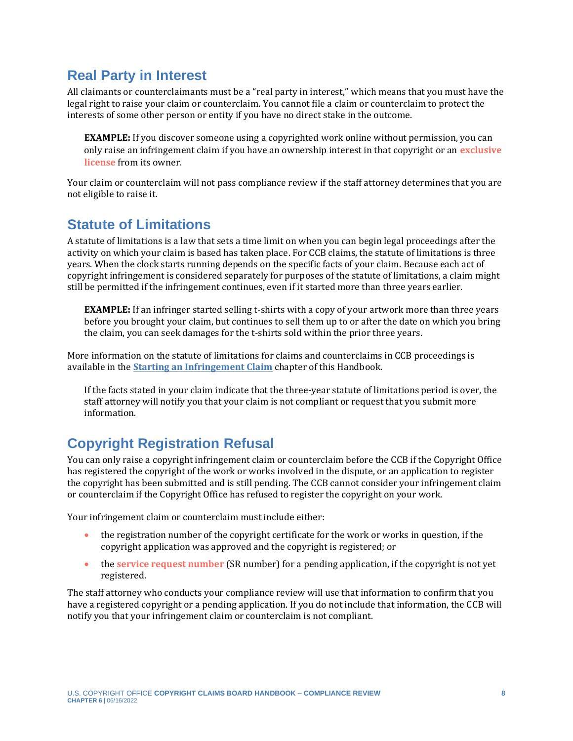#### **Real Party in Interest**

All claimants or counterclaimants must be a "real party in interest," which means that you must have the legal right to raise your claim or counterclaim. You cannot file a claim or counterclaim to protect the interests of some other person or entity if you have no direct stake in the outcome.

<span id="page-7-0"></span>**EXAMPLE:** If you discover someone using a copyrighted work online without permission, you can only raise an infringement claim if you have an ownership interest in that copyright or an **[exclusive](#page-11-0)  [license](#page-11-0)** from its owner.

Your claim or counterclaim will not pass compliance review if the staff attorney determines that you are not eligible to raise it.

#### **Statute of Limitations**

A statute of limitations is a law that sets a time limit on when you can begin legal proceedings after the activity on which your claim is based has taken place. For CCB claims, the statute of limitations is three years. When the clock starts running depends on the specific facts of your claim. Because each act of copyright infringement is considered separately for purposes of the statute of limitations, a claim might still be permitted if the infringement continues, even if it started more than three years earlier.

**EXAMPLE:** If an infringer started selling t-shirts with a copy of your artwork more than three years before you brought your claim, but continues to sell them up to or after the date on which you bring the claim, you can seek damages for the t-shirts sold within the prior three years.

More information on the statute of limitations for claims and counterclaims in CCB proceedings is available in the **[Starting an Infringement Claim](https://ccb.gov/handbook/Infringement-Claim.pdf)** chapter of this Handbook.

If the facts stated in your claim indicate that the three-year statute of limitations period is over, the staff attorney will notify you that your claim is not compliant or request that you submit more information.

## **Copyright Registration Refusal**

You can only raise a copyright infringement claim or counterclaim before the CCB if the Copyright Office has registered the copyright of the work or works involved in the dispute, or an application to register the copyright has been submitted and is still pending. The CCB cannot consider your infringement claim or counterclaim if the Copyright Office has refused to register the copyright on your work.

Your infringement claim or counterclaim must include either:

- the registration number of the copyright certificate for the work or works in question, if the copyright application was approved and the copyright is registered; or
- <span id="page-7-1"></span>• the **[service request number](#page-11-0)** (SR number) for a pending application, if the copyright is not yet registered.

The staff attorney who conducts your compliance review will use that information to confirm that you have a registered copyright or a pending application. If you do not include that information, the CCB will notify you that your infringement claim or counterclaim is not compliant.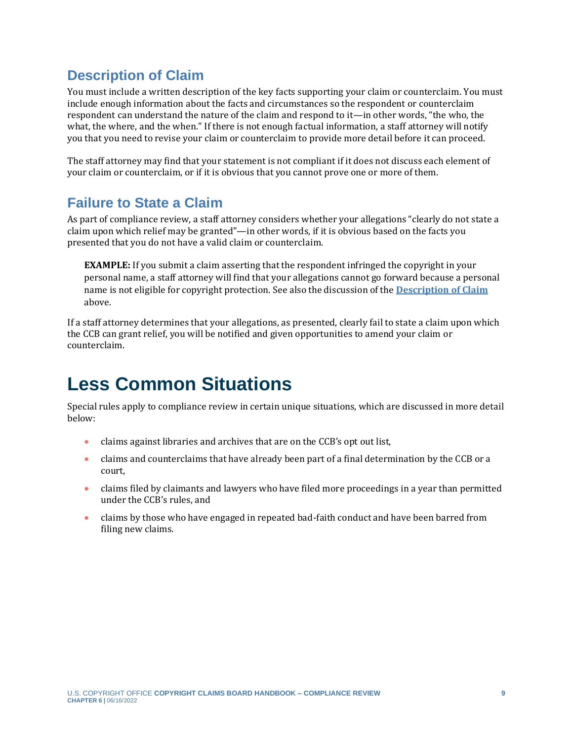#### <span id="page-8-1"></span>**Description of Claim**

You must include a written description of the key facts supporting your claim or counterclaim. You must include enough information about the facts and circumstances so the respondent or counterclaim respondent can understand the nature of the claim and respond to it—in other words, "the who, the what, the where, and the when." If there is not enough factual information, a staff attorney will notify you that you need to revise your claim or counterclaim to provide more detail before it can proceed.

The staff attorney may find that your statement is not compliant if it does not discuss each element of your claim or counterclaim, or if it is obvious that you cannot prove one or more of them.

#### **Failure to State a Claim**

As part of compliance review, a staff attorney considers whether your allegations "clearly do not state a claim upon which relief may be granted"—in other words, if it is obvious based on the facts you presented that you do not have a valid claim or counterclaim.

**EXAMPLE:** If you submit a claim asserting that the respondent infringed the copyright in your personal name, a staff attorney will find that your allegations cannot go forward because a personal name is not eligible for copyright protection. See also the discussion of the **[Description of Claim](#page-8-1)** above.

<span id="page-8-0"></span>If a staff attorney determines that your allegations, as presented, clearly fail to state a claim upon which the CCB can grant relief, you will be notified and given opportunities to amend your claim or counterclaim.

## **Less Common Situations**

Special rules apply to compliance review in certain unique situations, which are discussed in more detail below:

- claims against libraries and archives that are on the CCB's opt out list,
- claims and counterclaims that have already been part of a final determination by the CCB or a court,
- claims filed by claimants and lawyers who have filed more proceedings in a year than permitted under the CCB's rules, and
- claims by those who have engaged in repeated bad-faith conduct and have been barred from filing new claims.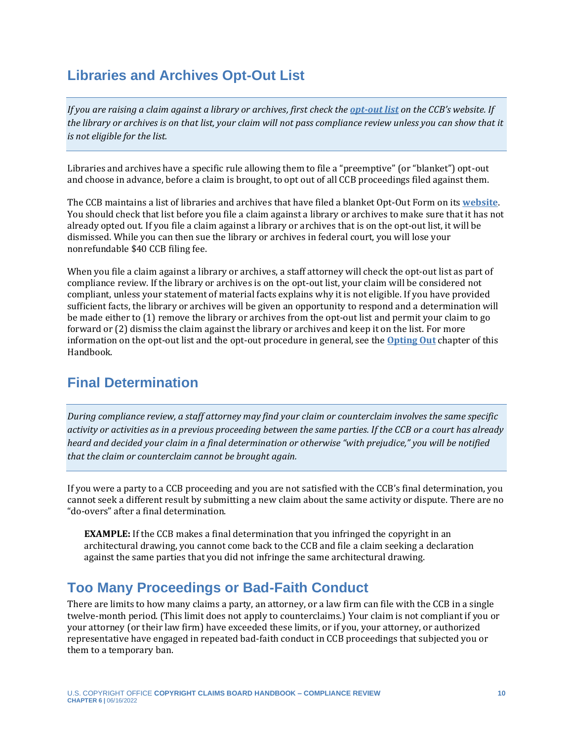#### **Libraries and Archives Opt-Out List**

*If you are raising a claim against a library or archives, first check the [opt-out list](https://ccb.gov/libraries-archives-opt-out/) on the CCB's website. If the library or archives is on that list, your claim will not pass compliance review unless you can show that it is not eligible for the list.*

Libraries and archives have a specific rule allowing them to file a "preemptive" (or "blanket") opt-out and choose in advance, before a claim is brought, to opt out of all CCB proceedings filed against them.

The CCB maintains a list of libraries and archives that have filed a blanket Opt-Out Form on its **[website](https://ccb.gov/libraries-archives-opt-out/)**. You should check that list before you file a claim against a library or archives to make sure that it has not already opted out. If you file a claim against a library or archives that is on the opt-out list, it will be dismissed. While you can then sue the library or archives in federal court, you will lose your nonrefundable \$40 CCB filing fee.

When you file a claim against a library or archives, a staff attorney will check the opt-out list as part of compliance review. If the library or archives is on the opt-out list, your claim will be considered not compliant, unless your statement of material facts explains why it is not eligible. If you have provided sufficient facts, the library or archives will be given an opportunity to respond and a determination will be made either to (1) remove the library or archives from the opt-out list and permit your claim to go forward or (2) dismiss the claim against the library or archives and keep it on the list. For more information on the opt-out list and the opt-out procedure in general, see the **[Opting Out](https://ccb.gov/handbook/Opting-Out.pdf)** chapter of this Handbook.

#### **Final Determination**

*During compliance review, a staff attorney may find your claim or counterclaim involves the same specific activity or activities as in a previous proceeding between the same parties. If the CCB or a court has already heard and decided your claim in a final determination or otherwise "with prejudice," you will be notified that the claim or counterclaim cannot be brought again.*

If you were a party to a CCB proceeding and you are not satisfied with the CCB's final determination, you cannot seek a different result by submitting a new claim about the same activity or dispute. There are no "do-overs" after a final determination.

**EXAMPLE:** If the CCB makes a final determination that you infringed the copyright in an architectural drawing, you cannot come back to the CCB and file a claim seeking a declaration against the same parties that you did not infringe the same architectural drawing.

#### **Too Many Proceedings or Bad-Faith Conduct**

There are limits to how many claims a party, an attorney, or a law firm can file with the CCB in a single twelve-month period. (This limit does not apply to counterclaims.) Your claim is not compliant if you or your attorney (or their law firm) have exceeded these limits, or if you, your attorney, or authorized representative have engaged in repeated bad-faith conduct in CCB proceedings that subjected you or them to a temporary ban.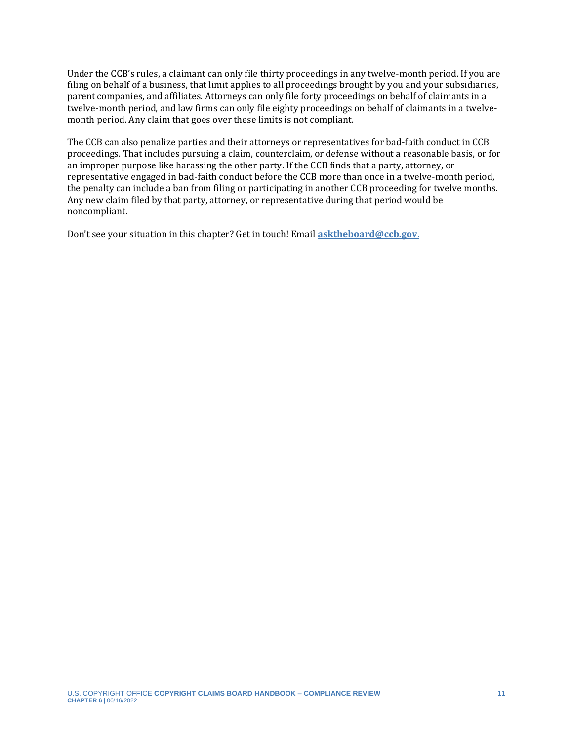Under the CCB's rules, a claimant can only file thirty proceedings in any twelve-month period. If you are filing on behalf of a business, that limit applies to all proceedings brought by you and your subsidiaries, parent companies, and affiliates. Attorneys can only file forty proceedings on behalf of claimants in a twelve-month period, and law firms can only file eighty proceedings on behalf of claimants in a twelvemonth period. Any claim that goes over these limits is not compliant.

The CCB can also penalize parties and their attorneys or representatives for bad-faith conduct in CCB proceedings. That includes pursuing a claim, counterclaim, or defense without a reasonable basis, or for an improper purpose like harassing the other party. If the CCB finds that a party, attorney, or representative engaged in bad-faith conduct before the CCB more than once in a twelve-month period, the penalty can include a ban from filing or participating in another CCB proceeding for twelve months. Any new claim filed by that party, attorney, or representative during that period would be noncompliant.

Don't see your situation in this chapter? Get in touch! Email **[asktheboard@ccb.gov.](mailto:asktheboard@ccb.gov)**